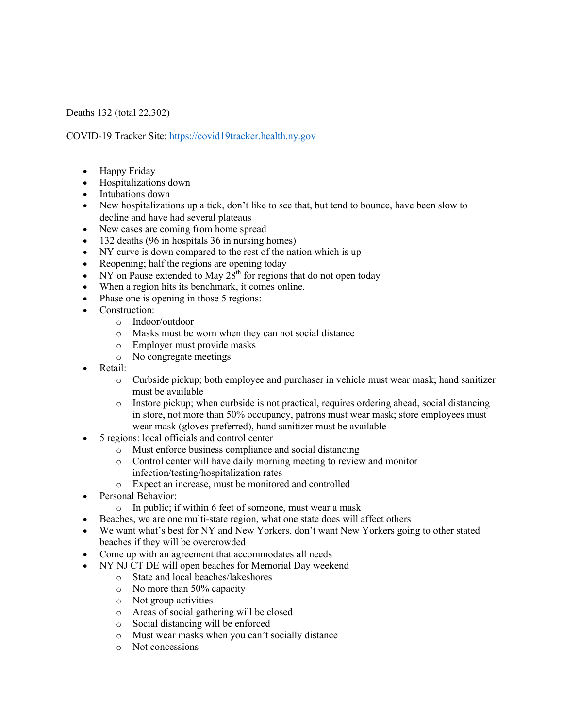Deaths 132 (total 22,302)

COVID-19 Tracker Site: https://covid19tracker.health.ny.gov

- Happy Friday
- Hospitalizations down
- Intubations down
- New hospitalizations up a tick, don't like to see that, but tend to bounce, have been slow to decline and have had several plateaus
- New cases are coming from home spread
- 132 deaths (96 in hospitals 36 in nursing homes)
- NY curve is down compared to the rest of the nation which is up
- Reopening; half the regions are opening today
- NY on Pause extended to May  $28<sup>th</sup>$  for regions that do not open today
- When a region hits its benchmark, it comes online.
- Phase one is opening in those 5 regions:
- Construction:
	- o Indoor/outdoor
	- o Masks must be worn when they can not social distance
	- o Employer must provide masks
	- o No congregate meetings
- Retail:
	- o Curbside pickup; both employee and purchaser in vehicle must wear mask; hand sanitizer must be available
	- o Instore pickup; when curbside is not practical, requires ordering ahead, social distancing in store, not more than 50% occupancy, patrons must wear mask; store employees must wear mask (gloves preferred), hand sanitizer must be available
- 5 regions: local officials and control center
	- o Must enforce business compliance and social distancing
	- o Control center will have daily morning meeting to review and monitor infection/testing/hospitalization rates
	- o Expect an increase, must be monitored and controlled
- Personal Behavior:
	- o In public; if within 6 feet of someone, must wear a mask
- Beaches, we are one multi-state region, what one state does will affect others
- We want what's best for NY and New Yorkers, don't want New Yorkers going to other stated beaches if they will be overcrowded
- Come up with an agreement that accommodates all needs
- NY NJ CT DE will open beaches for Memorial Day weekend
	- o State and local beaches/lakeshores
	- o No more than 50% capacity
	- o Not group activities
	- o Areas of social gathering will be closed
	- o Social distancing will be enforced
	- o Must wear masks when you can't socially distance
	- o Not concessions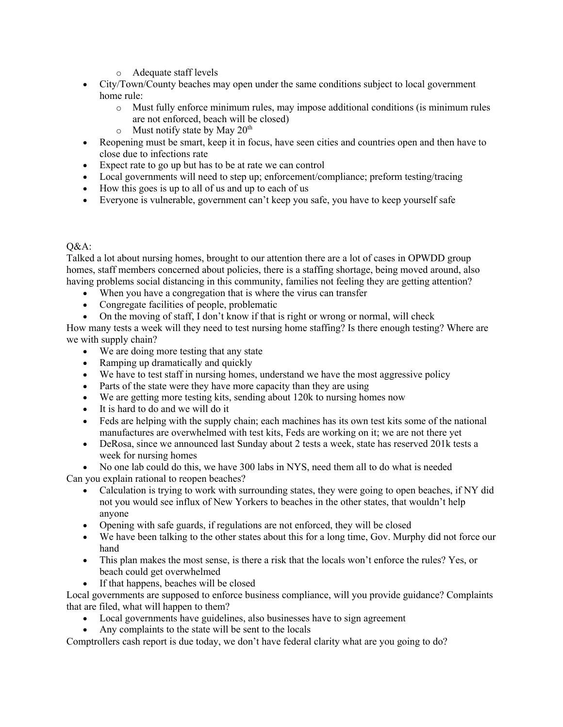- o Adequate staff levels
- City/Town/County beaches may open under the same conditions subject to local government home rule:
	- o Must fully enforce minimum rules, may impose additional conditions (is minimum rules are not enforced, beach will be closed)
	- $\circ$  Must notify state by May 20<sup>th</sup>
- Reopening must be smart, keep it in focus, have seen cities and countries open and then have to close due to infections rate
- Expect rate to go up but has to be at rate we can control
- Local governments will need to step up; enforcement/compliance; preform testing/tracing
- How this goes is up to all of us and up to each of us
- Everyone is vulnerable, government can't keep you safe, you have to keep yourself safe

## $O&A$ :

Talked a lot about nursing homes, brought to our attention there are a lot of cases in OPWDD group homes, staff members concerned about policies, there is a staffing shortage, being moved around, also having problems social distancing in this community, families not feeling they are getting attention?

- When you have a congregation that is where the virus can transfer
- Congregate facilities of people, problematic
- On the moving of staff, I don't know if that is right or wrong or normal, will check

How many tests a week will they need to test nursing home staffing? Is there enough testing? Where are we with supply chain?

- We are doing more testing that any state
- Ramping up dramatically and quickly
- We have to test staff in nursing homes, understand we have the most aggressive policy
- Parts of the state were they have more capacity than they are using
- We are getting more testing kits, sending about 120k to nursing homes now
- It is hard to do and we will do it
- Feds are helping with the supply chain; each machines has its own test kits some of the national manufactures are overwhelmed with test kits, Feds are working on it; we are not there yet
- DeRosa, since we announced last Sunday about 2 tests a week, state has reserved 201k tests a week for nursing homes
- No one lab could do this, we have 300 labs in NYS, need them all to do what is needed

Can you explain rational to reopen beaches?

- Calculation is trying to work with surrounding states, they were going to open beaches, if NY did not you would see influx of New Yorkers to beaches in the other states, that wouldn't help anyone
- Opening with safe guards, if regulations are not enforced, they will be closed
- We have been talking to the other states about this for a long time, Gov. Murphy did not force our hand
- This plan makes the most sense, is there a risk that the locals won't enforce the rules? Yes, or beach could get overwhelmed
- If that happens, beaches will be closed

Local governments are supposed to enforce business compliance, will you provide guidance? Complaints that are filed, what will happen to them?

- Local governments have guidelines, also businesses have to sign agreement
- Any complaints to the state will be sent to the locals

Comptrollers cash report is due today, we don't have federal clarity what are you going to do?